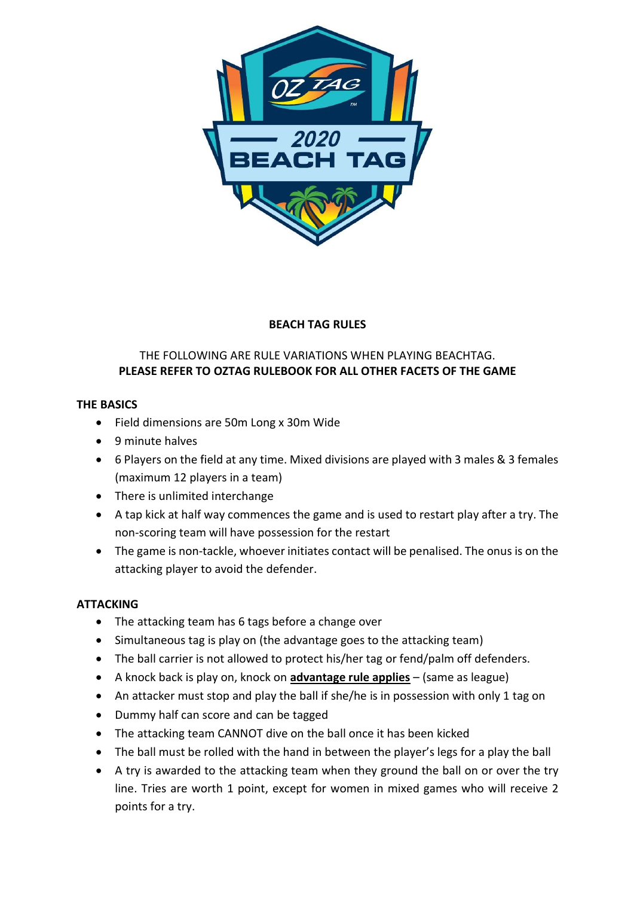

# BEACH TAG RULES

## THE FOLLOWING ARE RULE VARIATIONS WHEN PLAYING BEACHTAG. PLEASE REFER TO OZTAG RULEBOOK FOR ALL OTHER FACETS OF THE GAME

## THE BASICS

- Field dimensions are 50m Long x 30m Wide
- 9 minute halves
- 6 Players on the field at any time. Mixed divisions are played with 3 males & 3 females (maximum 12 players in a team)
- There is unlimited interchange
- A tap kick at half way commences the game and is used to restart play after a try. The non-scoring team will have possession for the restart
- The game is non-tackle, whoever initiates contact will be penalised. The onus is on the attacking player to avoid the defender.

## ATTACKING

- The attacking team has 6 tags before a change over
- Simultaneous tag is play on (the advantage goes to the attacking team)
- The ball carrier is not allowed to protect his/her tag or fend/palm off defenders.
- A knock back is play on, knock on advantage rule applies (same as league)
- An attacker must stop and play the ball if she/he is in possession with only 1 tag on
- Dummy half can score and can be tagged
- The attacking team CANNOT dive on the ball once it has been kicked
- The ball must be rolled with the hand in between the player's legs for a play the ball
- A try is awarded to the attacking team when they ground the ball on or over the try line. Tries are worth 1 point, except for women in mixed games who will receive 2 points for a try.